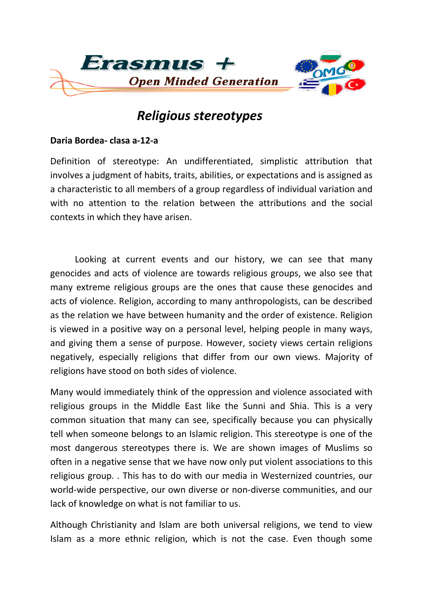

## *Religious stereotypes*

## **Daria Bordea- clasa a-12-a**

Definition of stereotype: An undifferentiated, simplistic attribution that involves a judgment of habits, traits, abilities, or expectations and is assigned as a characteristic to all members of a group regardless of individual variation and with no attention to the relation between the attributions and the social contexts in which they have arisen.

 Looking at current events and our history, we can see that many genocides and acts of violence are towards religious groups, we also see that many extreme religious groups are the ones that cause these genocides and acts of violence. Religion, according to many anthropologists, can be described as the relation we have between humanity and the order of existence. Religion is viewed in a positive way on a personal level, helping people in many ways, and giving them a sense of purpose. However, society views certain religions negatively, especially religions that differ from our own views. Majority of religions have stood on both sides of violence.

Many would immediately think of the oppression and violence associated with religious groups in the Middle East like the Sunni and Shia. This is a very common situation that many can see, specifically because you can physically tell when someone belongs to an Islamic religion. This stereotype is one of the most dangerous stereotypes there is. We are shown images of Muslims so often in a negative sense that we have now only put violent associations to this religious group. . This has to do with our media in Westernized countries, our world-wide perspective, our own diverse or non-diverse communities, and our lack of knowledge on what is not familiar to us.

Although Christianity and Islam are both universal religions, we tend to view Islam as a more ethnic religion, which is not the case. Even though some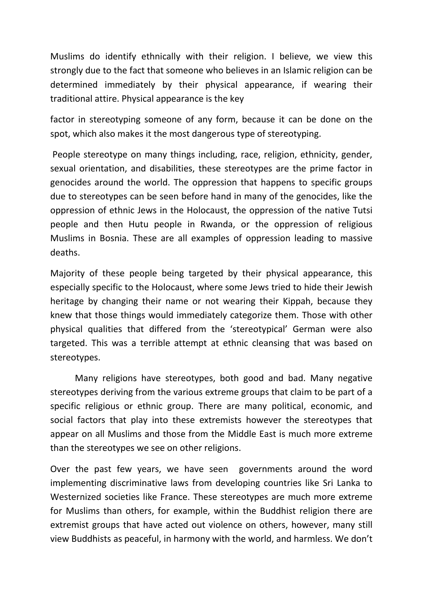Muslims do identify ethnically with their religion. I believe, we view this strongly due to the fact that someone who believes in an Islamic religion can be determined immediately by their physical appearance, if wearing their traditional attire. Physical appearance is the key

factor in stereotyping someone of any form, because it can be done on the spot, which also makes it the most dangerous type of stereotyping.

People stereotype on many things including, race, religion, ethnicity, gender, sexual orientation, and disabilities, these stereotypes are the prime factor in genocides around the world. The oppression that happens to specific groups due to stereotypes can be seen before hand in many of the genocides, like the oppression of ethnic Jews in the Holocaust, the oppression of the native Tutsi people and then Hutu people in Rwanda, or the oppression of religious Muslims in Bosnia. These are all examples of oppression leading to massive deaths.

Majority of these people being targeted by their physical appearance, this especially specific to the Holocaust, where some Jews tried to hide their Jewish heritage by changing their name or not wearing their Kippah, because they knew that those things would immediately categorize them. Those with other physical qualities that differed from the 'stereotypical' German were also targeted. This was a terrible attempt at ethnic cleansing that was based on stereotypes.

 Many religions have stereotypes, both good and bad. Many negative stereotypes deriving from the various extreme groups that claim to be part of a specific religious or ethnic group. There are many political, economic, and social factors that play into these extremists however the stereotypes that appear on all Muslims and those from the Middle East is much more extreme than the stereotypes we see on other religions.

Over the past few years, we have seen governments around the word implementing discriminative laws from developing countries like Sri Lanka to Westernized societies like France. These stereotypes are much more extreme for Muslims than others, for example, within the Buddhist religion there are extremist groups that have acted out violence on others, however, many still view Buddhists as peaceful, in harmony with the world, and harmless. We don't